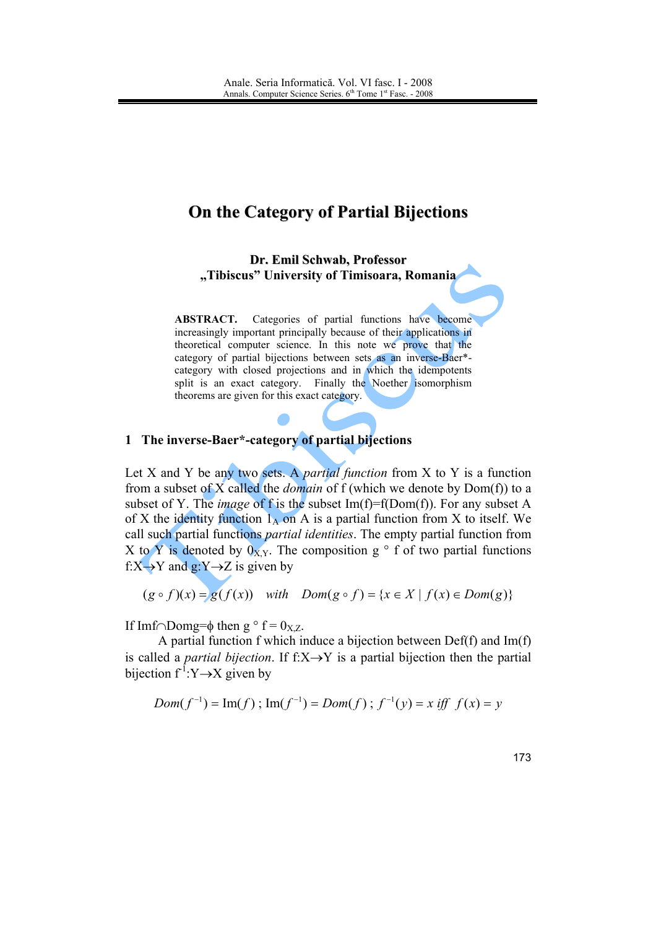## On the Category of Partial Bijections

Dr. Emil Schwab, Professor "Tibiscus" University of Timisoara, Romania

ABSTRACT. Categories of partial functions have become increasingly important principally because of their applications in theoretical computer science. In this note we prove that the category of partial bijections between sets as an inverse-Baer\*category with closed projections and in which the idempotents split is an exact category. Finally the Noether isomorphism theorems are given for this exact category.

## 1 The inverse-Baer\*-category of partial bijections

Let X and Y be any two sets. A *partial function* from X to Y is a function from a subset of X called the *domain* of f (which we denote by  $Dom(f)$ ) to a subset of Y. The *image* of f is the subset  $Im(f)=f(Dom(f))$ . For any subset A of X the identity function  $1_A$  on A is a partial function from X to itself. We call such partial functions *partial identities*. The empty partial function from X to Y is denoted by  $0_{X,Y}$ . The composition g  $\circ$  f of two partial functions  $f: X \rightarrow Y$  and  $g: Y \rightarrow Z$  is given by

$$
(g \circ f)(x) = g(f(x)) \quad \text{with} \quad Dom(g \circ f) = \{x \in X \mid f(x) \in Dom(g)\}
$$

If Imf $\cap$ Domg= $\phi$  then g  $\circ$  f = 0<sub>X.Z</sub>.

A partial function f which induce a bijection between  $Def(f)$  and  $Im(f)$ is called a *partial bijection*. If  $f:X \rightarrow Y$  is a partial bijection then the partial bijection  $f^{-1}:Y \rightarrow X$  given by

$$
Dom(f^{-1}) = Im(f) ; Im(f^{-1}) = Dom(f) ; f^{-1}(y) = x iff f(x) = y
$$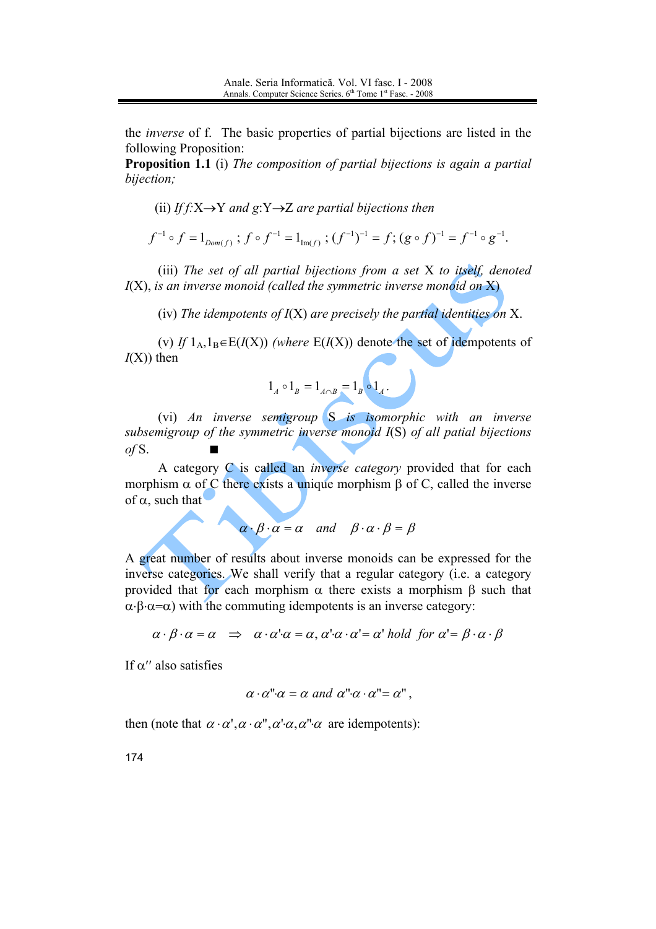the *inverse* of f. The basic properties of partial bijections are listed in the following Proposition:

Proposition 1.1 (i) The composition of partial bijections is again a partial bijection;

(ii) If  $f: X \rightarrow Y$  and  $g: Y \rightarrow Z$  are partial bijections then

$$
f^{-1} \circ f = 1_{Dom(f)}; \ f \circ f^{-1} = 1_{Im(f)}; \ (f^{-1})^{-1} = f; \ (g \circ f)^{-1} = f^{-1} \circ g^{-1}.
$$

(iii) The set of all partial bijections from a set X to itself, denoted  $I(X)$ , is an inverse monoid (called the symmetric inverse monoid on X)

(iv) The idempotents of  $I(X)$  are precisely the partial identities on X.

(v) If  $1_A, 1_B \in E(I(X))$  (where  $E(I(X))$ ) denote the set of idempotents of  $I(X)$  then

$$
1_A \circ 1_B = 1_{A \cap B} = 1_B \circ 1_A.
$$

(vi) An inverse semigroup  $S$  is isomorphic with an inverse subsemigroup of the symmetric inverse monoid I(S) of all patial bijections  $of S.$ 

A category C is called an *inverse category* provided that for each morphism  $\alpha$  of C there exists a unique morphism  $\beta$  of C, called the inverse of  $\alpha$ , such that

$$
\alpha \cdot \beta \cdot \alpha = \alpha
$$
 and  $\beta \cdot \alpha \cdot \beta = \beta$ 

A great number of results about inverse monoids can be expressed for the inverse categories. We shall verify that a regular category (*i.e.* a category provided that for each morphism  $\alpha$  there exists a morphism  $\beta$  such that  $\alpha \cdot \beta \cdot \alpha = \alpha$ ) with the commuting idempotents is an inverse category:

$$
\alpha \cdot \beta \cdot \alpha = \alpha \implies \alpha \cdot \alpha' \cdot \alpha = \alpha, \, \alpha' \cdot \alpha \cdot \alpha' = \alpha' \text{ hold for } \alpha' = \beta \cdot \alpha \cdot \beta
$$

If  $\alpha$ " also satisfies

$$
\alpha \cdot \alpha \cdot \alpha = \alpha \text{ and } \alpha \cdot \alpha \cdot \alpha = \alpha \cdot \alpha,
$$

then (note that  $\alpha \cdot \alpha', \alpha \cdot \alpha'', \alpha' \cdot \alpha, \alpha'' \cdot \alpha$  are idempotents):

174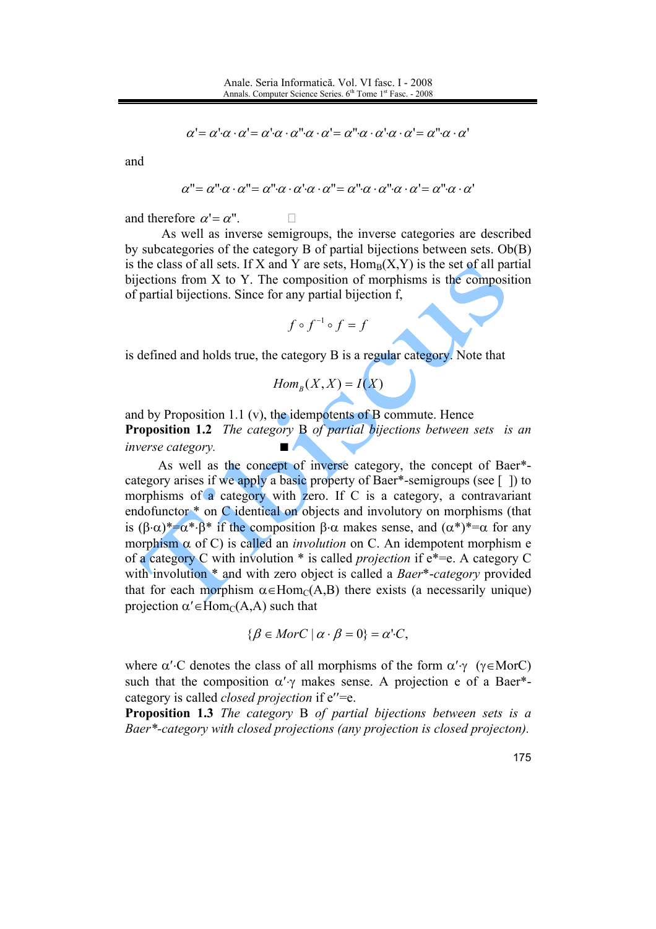$$
\alpha' = \alpha' \cdot \alpha \cdot \alpha' = \alpha' \cdot \alpha \cdot \alpha'' \cdot \alpha \cdot \alpha' = \alpha'' \cdot \alpha \cdot \alpha' \cdot \alpha \cdot \alpha' = \alpha'' \cdot \alpha \cdot \alpha'
$$

and

$$
\alpha''' = \alpha'' \cdot \alpha \cdot \alpha''' = \alpha'' \cdot \alpha \cdot \alpha \cdot \alpha \cdot \alpha''' = \alpha'' \cdot \alpha \cdot \alpha'' \cdot \alpha \cdot \alpha' = \alpha'' \cdot \alpha \cdot \alpha'
$$

and therefore  $\alpha' = \alpha''$ .

As well as inverse semigroups, the inverse categories are described by subcategories of the category B of partial bijections between sets. Ob(B) is the class of all sets. If X and Y are sets,  $Hom_B(X, Y)$  is the set of all partial bijections from X to Y. The composition of morphisms is the composition of partial bijections. Since for any partial bijection f.

$$
f\circ f^{-1}\circ f=f
$$

is defined and holds true, the category B is a regular category. Note that

$$
Hom_B(X, X) = I(X)
$$

and by Proposition 1.1 (v), the idempotents of  $\overline{B}$  commute. Hence **Proposition 1.2** The category B of partial bijections between sets is an inverse category.

As well as the concept of inverse category, the concept of Baer\*category arises if we apply a basic property of Baer\*-semigroups (see []) to morphisms of a category with zero. If C is a category, a contravariant endofunctor \* on C identical on objects and involutory on morphisms (that is  $(\beta \cdot \alpha)^* = \alpha^* \cdot \beta^*$  if the composition  $\beta \cdot \alpha$  makes sense, and  $(\alpha^*)^* = \alpha$  for any morphism  $\alpha$  of C) is called an *involution* on C. An idempotent morphism e of a category C with involution  $*$  is called *projection* if  $e^* = e$ . A category C with involution \* and with zero object is called a Baer\*-category provided that for each morphism  $\alpha \in Hom_C(A, B)$  there exists (a necessarily unique) projection  $\alpha' \in \text{Hom}_C(A, A)$  such that

$$
\{\beta \in MorC \mid \alpha \cdot \beta = 0\} = \alpha' \cdot C,
$$

where  $\alpha'$  C denotes the class of all morphisms of the form  $\alpha' \gamma$  ( $\gamma \in \text{Mor}$ C) such that the composition  $\alpha'$  makes sense. A projection e of a Baer\*category is called *closed projection* if e''=e.

**Proposition 1.3** The category B of partial bijections between sets is a Baer\*-category with closed projections (any projection is closed projecton).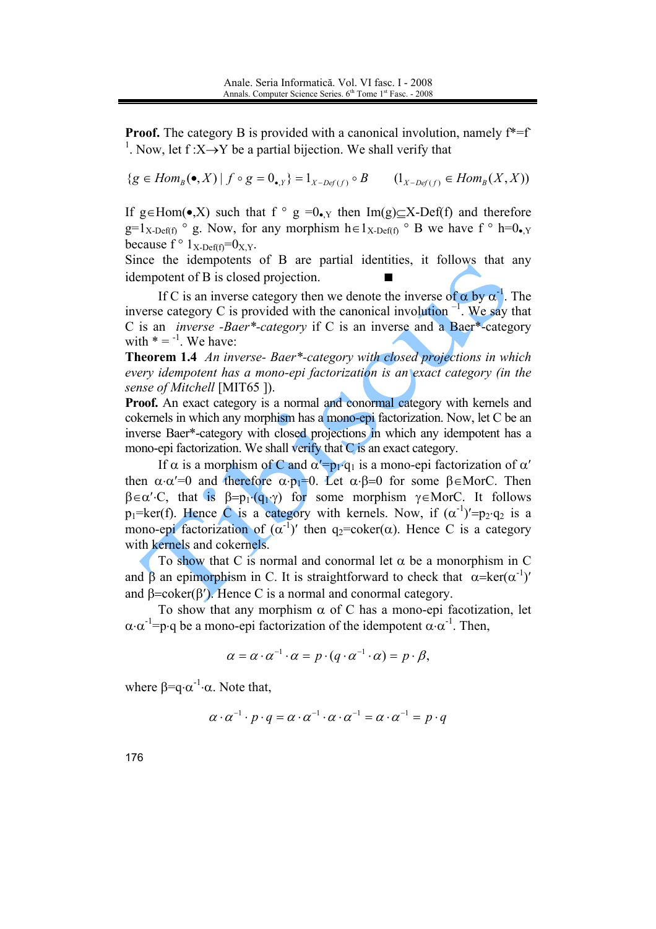**Proof.** The category B is provided with a canonical involution, namely  $f^* = f$ <sup>1</sup>. Now, let  $f: X \rightarrow Y$  be a partial bijection. We shall verify that

 $\{g \in Hom_B(\bullet, X) \mid f \circ g = 0_{\bullet Y}\} = 1_{X \sim Def(f)} \circ B$   $(1_{X \sim Def(f)} \in Hom_B(X, X))$ 

If g  $\in$  Hom( $\bullet$ ,X) such that f  $\circ$  g =0 $\bullet$ , then Im(g) $\subset$ X-Def(f) and therefore  $g=1_{X\text{-Def(f)}}$  ° g. Now, for any morphism  $h \in 1_{X\text{-Def(f)}}$  ° B we have f ° h=0. because  $f \circ 1_{X\text{-Def}(f)} = 0_{X,Y}$ .

Since the idempotents of B are partial identities, it follows that any idempotent of B is closed projection.

If C is an inverse category then we denote the inverse of  $\alpha$  by  $\alpha^{-1}$ . The inverse category C is provided with the canonical involution  $^{-1}$ . We say that C is an *inverse* -Baer\*-category if C is an inverse and a Baer\*-category with  $* = -1$ . We have:

**Theorem 1.4** An inverse- Baer\*-category with closed projections in which every idempotent has a mono-epi factorization is an exact category (in the sense of Mitchell [MIT65]).

Proof. An exact category is a normal and conormal category with kernels and cokernels in which any morphism has a mono-epi factorization. Now, let C be an inverse Baer\*-category with closed projections in which any idempotent has a mono-epi factorization. We shall verify that C is an exact category.

If  $\alpha$  is a morphism of C and  $\alpha' = p_1 \cdot q_1$  is a mono-epi factorization of  $\alpha'$ then  $\alpha \cdot \alpha' = 0$  and therefore  $\alpha \cdot p_1 = 0$ . Let  $\alpha \cdot \beta = 0$  for some  $\beta \in \text{Mor}C$ . Then  $\beta \in \alpha'$ . C, that is  $\beta = p_1 \cdot (q_1 \cdot \gamma)$  for some morphism  $\gamma \in \text{Mor}$ . It follows  $p_1 = \text{ker}(f)$ . Hence C is a category with kernels. Now, if  $(\alpha^{-1})' = p_2 \cdot q_2$  is a mono-epi factorization of  $(\alpha^{-1})'$  then  $g_2$ =coker( $\alpha$ ). Hence C is a category with kernels and cokernels.

To show that C is normal and conormal let  $\alpha$  be a monorphism in C and  $\beta$  an epimorphism in C. It is straightforward to check that  $\alpha = \text{ker}(\alpha^{-1})'$ and  $\beta = \coker(\beta')$ . Hence C is a normal and conormal category.

To show that any morphism  $\alpha$  of C has a mono-epi facotization, let  $\alpha \cdot \alpha^{-1}$ =p·q be a mono-epi factorization of the idempotent  $\alpha \cdot \alpha^{-1}$ . Then,

$$
\alpha = \alpha \cdot \alpha^{-1} \cdot \alpha = p \cdot (q \cdot \alpha^{-1} \cdot \alpha) = p \cdot \beta,
$$

where  $\beta = q \cdot \alpha^{-1} \cdot \alpha$ . Note that,

$$
\alpha \cdot \alpha^{-1} \cdot p \cdot q = \alpha \cdot \alpha^{-1} \cdot \alpha \cdot \alpha^{-1} = \alpha \cdot \alpha^{-1} = p \cdot q
$$

176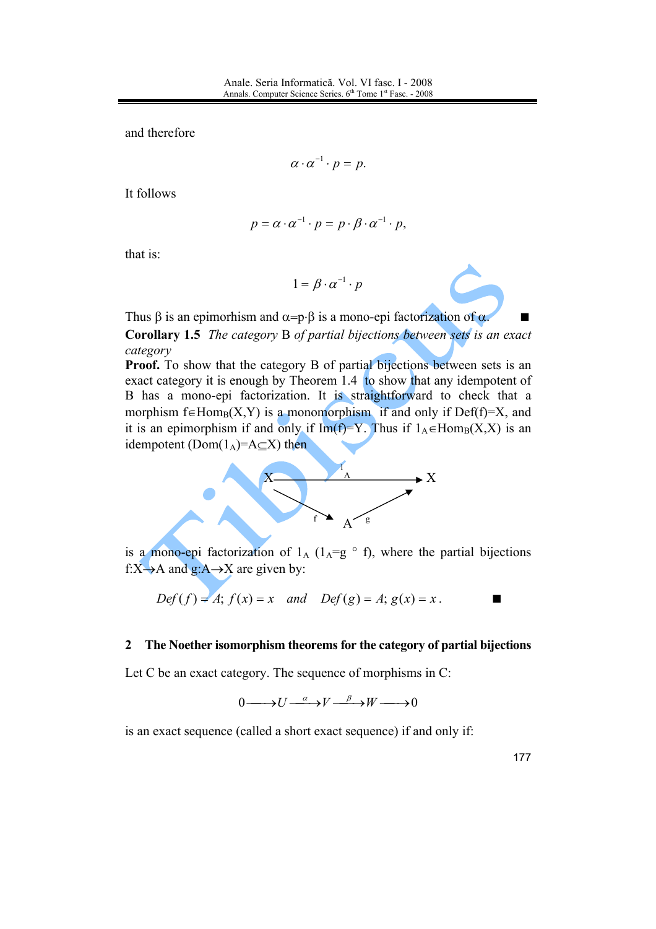and therefore

$$
\alpha \cdot \alpha^{-1} \cdot p = p
$$

It follows

$$
p = \alpha \cdot \alpha^{-1} \cdot p = p \cdot \beta \cdot \alpha^{-1} \cdot p,
$$

that is:

$$
1 = \beta \cdot \alpha^{-1} \cdot p
$$

Thus  $\beta$  is an epimorhism and  $\alpha = p \cdot \beta$  is a mono-epi factorization of  $\alpha$ . **Corollary 1.5** The category B of partial bijections between sets is an exact category

**Proof.** To show that the category B of partial bijections between sets is an exact category it is enough by Theorem 1.4 to show that any idempotent of B has a mono-epi factorization. It is straightforward to check that a morphism  $f \in Hom_B(X, Y)$  is a monomorphism if and only if Def(f)=X, and it is an epimorphism if and only if  $Im(f)=Y$ . Thus if  $1_A \in Hom_B(X,X)$  is an idempotent (Dom( $1_A$ )=A $\subset$ X) then



is a mono-epi factorization of  $1_A$  ( $1_A=g^{\circ}$  f), where the partial bijections f:X $\rightarrow$ A and g:A $\rightarrow$ X are given by:

$$
Def(f) = A; f(x) = x
$$
 and  $Def(g) = A; g(x) = x$ .

## The Noether isomorphism theorems for the category of partial bijections  $\overline{2}$

Let C be an exact category. The sequence of morphisms in  $C$ :

$$
0 \longrightarrow U \xrightarrow{\alpha} V \xrightarrow{\beta} W \longrightarrow 0
$$

is an exact sequence (called a short exact sequence) if and only if:

177

п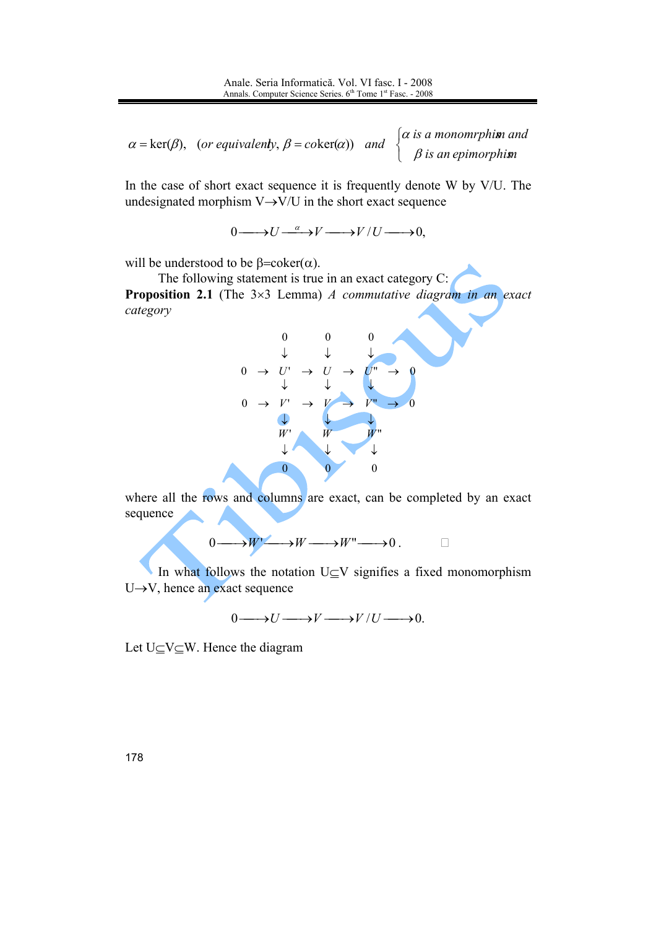$\alpha = \text{ker}(\beta)$ , (or equivalenty,  $\beta = \text{coker}(\alpha)$ ) and  $\begin{cases} \alpha \text{ is a monomorphism and} \\ \beta \text{ is an epimorphism} \end{cases}$ 

In the case of short exact sequence it is frequently denote W by V/U. The undesignated morphism  $V \rightarrow V/U$  in the short exact sequence

 $0 \longrightarrow U \xrightarrow{\alpha} V \longrightarrow V / U \longrightarrow 0$ 

will be understood to be  $\beta = \coker(\alpha)$ .

The following statement is true in an exact category  $C$ : **Proposition 2.1** (The  $3\times3$  Lemma) A commutative diagram in an exact category



where all the rows and columns are exact, can be completed by an exact sequence

 $0 \longrightarrow W' \longrightarrow W \longrightarrow W'' \longrightarrow 0$ .

In what follows the notation  $U \subseteq V$  signifies a fixed monomorphism  $U \rightarrow V$ , hence an exact sequence

 $0 \longrightarrow U \longrightarrow V \longrightarrow V / U \longrightarrow 0.$ 

Let  $U\subset V\subset W$ . Hence the diagram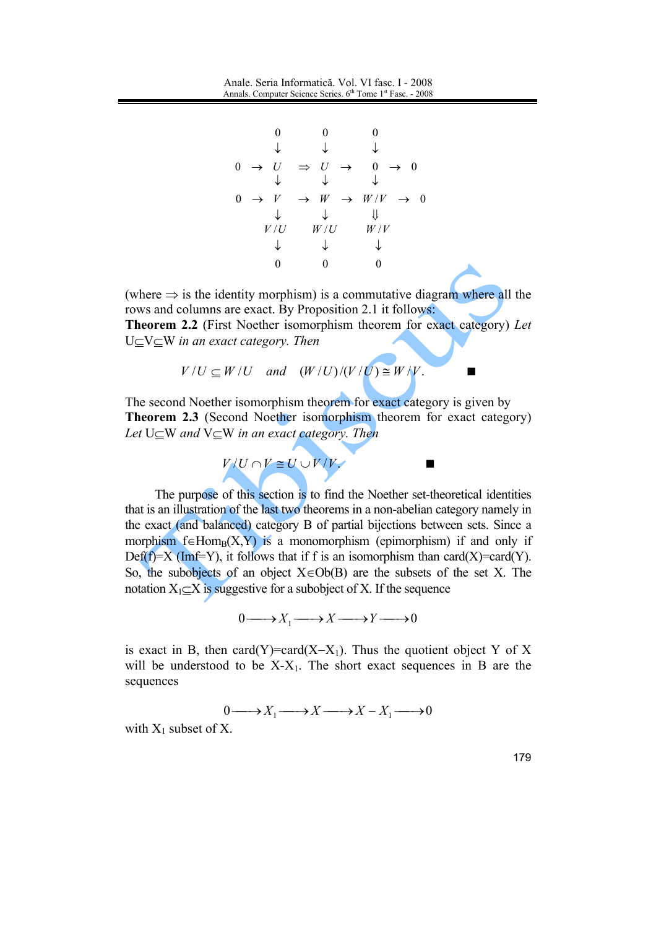$\Omega$  $\begin{array}{ccccccc} & & \downarrow & & \downarrow & & \downarrow & & \\ 0 & \rightarrow & U & \Rightarrow & U & \rightarrow & 0 & \rightarrow & 0 \\ & & \downarrow & & \downarrow & & \downarrow & & \end{array}$  $0\quad\rightarrow\quad V\quad\rightarrow\quad W\quad\rightarrow\quad W/V\quad\rightarrow\quad 0$  $\begin{array}{ccc} \downarrow & & \downarrow & & \Downarrow \\ V/U & & W/U & & W/V \end{array}$  $\begin{array}{ccccccccc}\n\downarrow & & & \downarrow & & & \downarrow \\
0 & & 0 & & & 0\n\end{array}$ 

(where  $\Rightarrow$  is the identity morphism) is a commutative diagram where all the rows and columns are exact. By Proposition 2.1 it follows: Theorem 2.2 (First Noether isomorphism theorem for exact category) Let  $U \subseteq V \subseteq W$  in an exact category. Then

$$
V/U \subseteq W/U
$$
 and  $(W/U)/(V/U) \cong W/V$ .

The second Noether isomorphism theorem for exact category is given by Theorem 2.3 (Second Noether isomorphism theorem for exact category) Let  $U \subseteq W$  and  $V \subseteq W$  in an exact category. Then



The purpose of this section is to find the Noether set-theoretical identities that is an illustration of the last two theorems in a non-abelian category namely in the exact (and balanced) category B of partial bijections between sets. Since a morphism  $f \in Hom_B(X,Y)$  is a monomorphism (epimorphism) if and only if Def(f)=X (Imf=Y), it follows that if f is an isomorphism than card(X)=card(Y). So, the subobjects of an object  $X \in Ob(B)$  are the subsets of the set X. The notation  $X_1 \subseteq X$  is suggestive for a subobject of X. If the sequence

$$
0 \longrightarrow X_1 \longrightarrow X \longrightarrow Y \longrightarrow 0
$$

is exact in B, then card(Y)=card(X-X<sub>1</sub>). Thus the quotient object Y of X will be understood to be  $X - X_1$ . The short exact sequences in B are the sequences

$$
0 \longrightarrow X_1 \longrightarrow X \longrightarrow X - X_1 \longrightarrow 0
$$

with  $X_1$  subset of X.

179

 $\blacksquare$